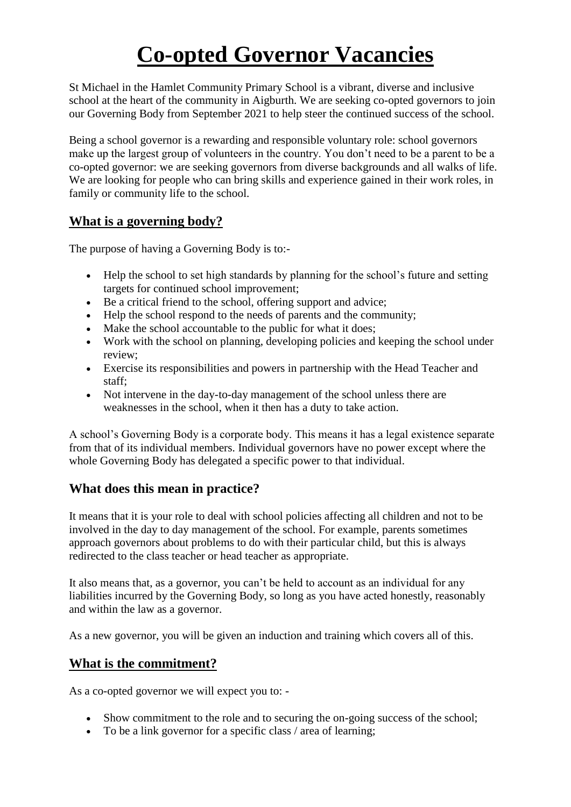# **Co-opted Governor Vacancies**

St Michael in the Hamlet Community Primary School is a vibrant, diverse and inclusive school at the heart of the community in Aigburth. We are seeking co-opted governors to join our Governing Body from September 2021 to help steer the continued success of the school.

Being a school governor is a rewarding and responsible voluntary role: school governors make up the largest group of volunteers in the country. You don't need to be a parent to be a co-opted governor: we are seeking governors from diverse backgrounds and all walks of life. We are looking for people who can bring skills and experience gained in their work roles, in family or community life to the school.

## **What is a governing body?**

The purpose of having a Governing Body is to:-

- Help the school to set high standards by planning for the school's future and setting targets for continued school improvement;
- Be a critical friend to the school, offering support and advice;
- Help the school respond to the needs of parents and the community;
- Make the school accountable to the public for what it does;
- Work with the school on planning, developing policies and keeping the school under review;
- Exercise its responsibilities and powers in partnership with the Head Teacher and staff;
- Not intervene in the day-to-day management of the school unless there are weaknesses in the school, when it then has a duty to take action.

A school's Governing Body is a corporate body. This means it has a legal existence separate from that of its individual members. Individual governors have no power except where the whole Governing Body has delegated a specific power to that individual.

## **What does this mean in practice?**

It means that it is your role to deal with school policies affecting all children and not to be involved in the day to day management of the school. For example, parents sometimes approach governors about problems to do with their particular child, but this is always redirected to the class teacher or head teacher as appropriate.

It also means that, as a governor, you can't be held to account as an individual for any liabilities incurred by the Governing Body, so long as you have acted honestly, reasonably and within the law as a governor.

As a new governor, you will be given an induction and training which covers all of this.

## **What is the commitment?**

As a co-opted governor we will expect you to: -

- Show commitment to the role and to securing the on-going success of the school;
- To be a link governor for a specific class / area of learning;